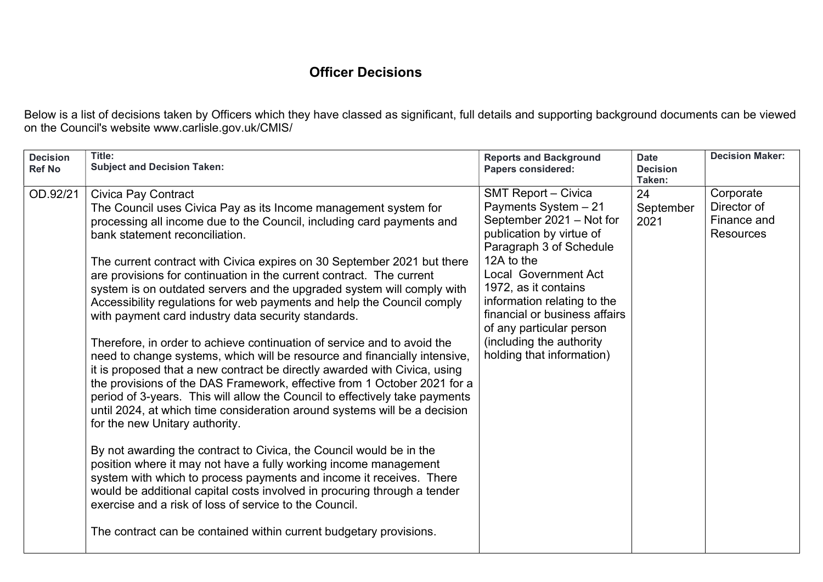## Officer Decisions

Below is a list of decisions taken by Officers which they have classed as significant, full details and supporting background documents can be viewed on the Council's website www.carlisle.gov.uk/CMIS/

| <b>SMT Report - Civica</b><br>24<br>Corporate<br>OD.92/21<br><b>Civica Pay Contract</b><br>Payments System - 21<br>Director of<br>September<br>The Council uses Civica Pay as its Income management system for<br>September 2021 - Not for<br>Finance and<br>processing all income due to the Council, including card payments and<br>2021<br>publication by virtue of<br><b>Resources</b><br>bank statement reconciliation.<br>Paragraph 3 of Schedule<br>12A to the<br>The current contract with Civica expires on 30 September 2021 but there<br><b>Local Government Act</b><br>are provisions for continuation in the current contract. The current<br>1972, as it contains<br>system is on outdated servers and the upgraded system will comply with<br>information relating to the<br>Accessibility regulations for web payments and help the Council comply<br>financial or business affairs<br>with payment card industry data security standards.<br>of any particular person<br>(including the authority<br>Therefore, in order to achieve continuation of service and to avoid the<br>holding that information)<br>need to change systems, which will be resource and financially intensive,<br>it is proposed that a new contract be directly awarded with Civica, using<br>the provisions of the DAS Framework, effective from 1 October 2021 for a<br>period of 3-years. This will allow the Council to effectively take payments<br>until 2024, at which time consideration around systems will be a decision<br>for the new Unitary authority.<br>By not awarding the contract to Civica, the Council would be in the<br>position where it may not have a fully working income management<br>system with which to process payments and income it receives. There<br>would be additional capital costs involved in procuring through a tender<br>exercise and a risk of loss of service to the Council.<br>The contract can be contained within current budgetary provisions. | <b>Decision</b><br><b>Ref No</b> | Title:<br><b>Subject and Decision Taken:</b> | <b>Reports and Background</b><br><b>Papers considered:</b> | <b>Date</b><br><b>Decision</b><br>Taken: | <b>Decision Maker:</b> |
|----------------------------------------------------------------------------------------------------------------------------------------------------------------------------------------------------------------------------------------------------------------------------------------------------------------------------------------------------------------------------------------------------------------------------------------------------------------------------------------------------------------------------------------------------------------------------------------------------------------------------------------------------------------------------------------------------------------------------------------------------------------------------------------------------------------------------------------------------------------------------------------------------------------------------------------------------------------------------------------------------------------------------------------------------------------------------------------------------------------------------------------------------------------------------------------------------------------------------------------------------------------------------------------------------------------------------------------------------------------------------------------------------------------------------------------------------------------------------------------------------------------------------------------------------------------------------------------------------------------------------------------------------------------------------------------------------------------------------------------------------------------------------------------------------------------------------------------------------------------------------------------------------------------------------------------------------------------------------------------------|----------------------------------|----------------------------------------------|------------------------------------------------------------|------------------------------------------|------------------------|
|                                                                                                                                                                                                                                                                                                                                                                                                                                                                                                                                                                                                                                                                                                                                                                                                                                                                                                                                                                                                                                                                                                                                                                                                                                                                                                                                                                                                                                                                                                                                                                                                                                                                                                                                                                                                                                                                                                                                                                                              |                                  |                                              |                                                            |                                          |                        |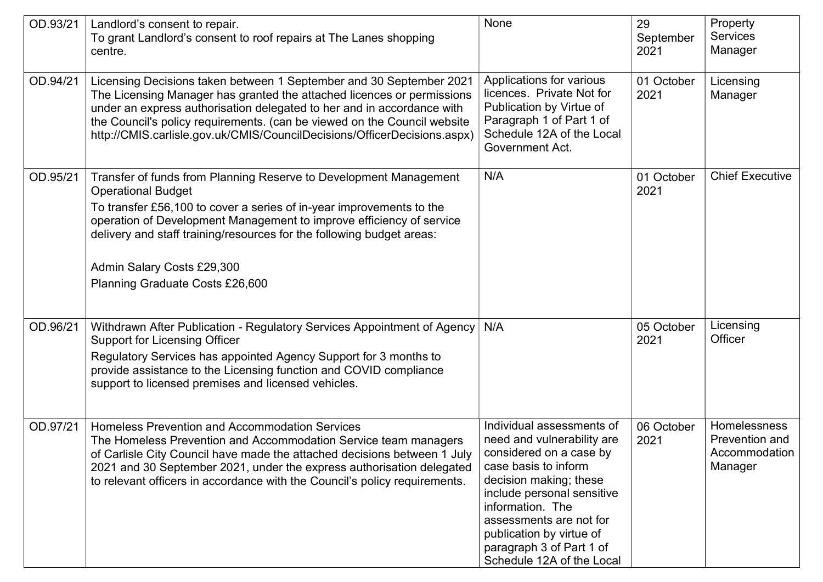| OD.93/21 | Landlord's consent to repair.<br>To grant Landlord's consent to roof repairs at The Lanes shopping<br>centre.                                                                                                                                                                                                                                                                            | None                                                                                                                                                                                                                                                                                                   | 29<br>September<br>2021 | Property<br><b>Services</b><br>Manager                     |
|----------|------------------------------------------------------------------------------------------------------------------------------------------------------------------------------------------------------------------------------------------------------------------------------------------------------------------------------------------------------------------------------------------|--------------------------------------------------------------------------------------------------------------------------------------------------------------------------------------------------------------------------------------------------------------------------------------------------------|-------------------------|------------------------------------------------------------|
| OD.94/21 | Licensing Decisions taken between 1 September and 30 September 2021<br>The Licensing Manager has granted the attached licences or permissions<br>under an express authorisation delegated to her and in accordance with<br>the Council's policy requirements. (can be viewed on the Council website<br>http://CMIS.carlisle.gov.uk/CMIS/CouncilDecisions/OfficerDecisions.aspx)          | Applications for various<br>licences. Private Not for<br>Publication by Virtue of<br>Paragraph 1 of Part 1 of<br>Schedule 12A of the Local<br>Government Act.                                                                                                                                          | 01 October<br>2021      | Licensing<br>Manager                                       |
| OD.95/21 | Transfer of funds from Planning Reserve to Development Management<br><b>Operational Budget</b><br>To transfer £56,100 to cover a series of in-year improvements to the<br>operation of Development Management to improve efficiency of service<br>delivery and staff training/resources for the following budget areas:<br>Admin Salary Costs £29,300<br>Planning Graduate Costs £26,600 | N/A                                                                                                                                                                                                                                                                                                    | 01 October<br>2021      | <b>Chief Executive</b>                                     |
| OD.96/21 | Withdrawn After Publication - Regulatory Services Appointment of Agency<br><b>Support for Licensing Officer</b><br>Regulatory Services has appointed Agency Support for 3 months to<br>provide assistance to the Licensing function and COVID compliance<br>support to licensed premises and licensed vehicles.                                                                          | N/A                                                                                                                                                                                                                                                                                                    | 05 October<br>2021      | Licensing<br>Officer                                       |
| OD.97/21 | <b>Homeless Prevention and Accommodation Services</b><br>The Homeless Prevention and Accommodation Service team managers<br>of Carlisle City Council have made the attached decisions between 1 July<br>2021 and 30 September 2021, under the express authorisation delegated<br>to relevant officers in accordance with the Council's policy requirements.                              | Individual assessments of<br>need and vulnerability are<br>considered on a case by<br>case basis to inform<br>decision making; these<br>include personal sensitive<br>information. The<br>assessments are not for<br>publication by virtue of<br>paragraph 3 of Part 1 of<br>Schedule 12A of the Local | 06 October<br>2021      | Homelessness<br>Prevention and<br>Accommodation<br>Manager |